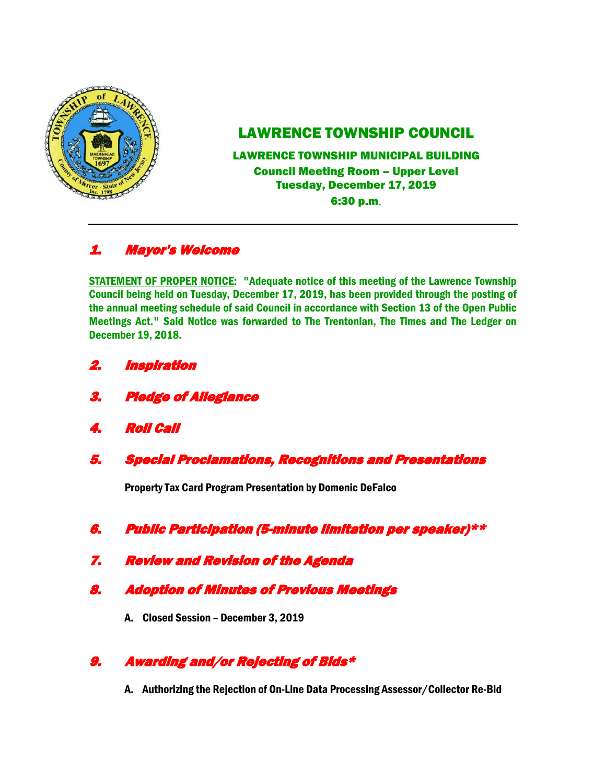

# LAWRENCE TOWNSHIP COUNCIL

LAWRENCE TOWNSHIP MUNICIPAL BUILDING Council Meeting Room – Upper Level Tuesday, December 17, 2019 6:30 p.m.

## 1. Mayor's Welcome

STATEMENT OF PROPER NOTICE: "Adequate notice of this meeting of the Lawrence Township Council being held on Tuesday, December 17, 2019, has been provided through the posting of the annual meeting schedule of said Council in accordance with Section 13 of the Open Public Meetings Act." Said Notice was forwarded to The Trentonian, The Times and The Ledger on December 19, 2018.

- 2. Inspiration
- 3. Pledge of Allegiance
- 4. Roll Call
- 5. Special Proclamations, Recognitions and Presentations

Property Tax Card Program Presentation by Domenic DeFalco

- 6. Public Participation (5-minute limitation per speaker)\*\*
- 7. Review and Revision of the Agenda
- 8. Adoption of Minutes of Previous Meetings
	- A. Closed Session December 3, 2019

### 9. Awarding and/or Rejecting of Bids\*

A. Authorizing the Rejection of On-Line Data Processing Assessor/Collector Re-Bid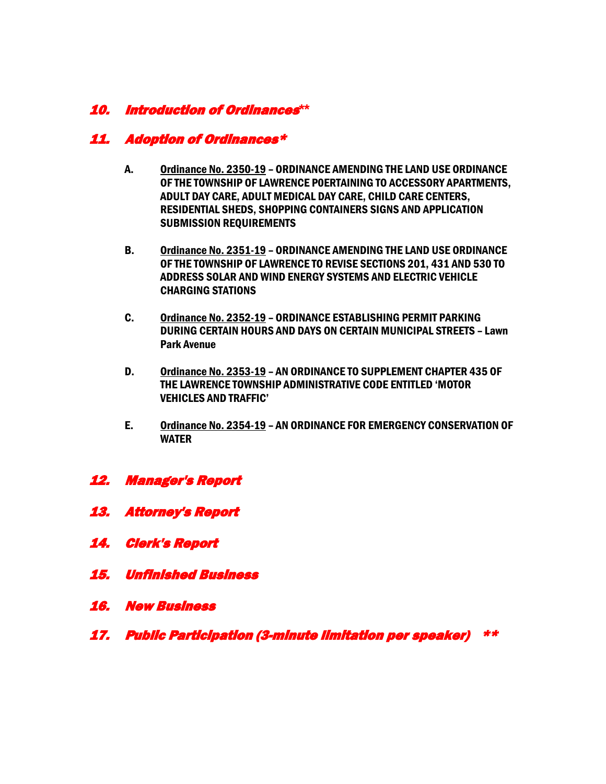### 10. Introduction of Ordinances**\*\***

#### 11. Adoption of Ordinances\*

- A. Ordinance No. 2350-19 ORDINANCE AMENDING THE LAND USE ORDINANCE OF THE TOWNSHIP OF LAWRENCE P0ERTAINING TO ACCESSORY APARTMENTS, ADULT DAY CARE, ADULT MEDICAL DAY CARE, CHILD CARE CENTERS, RESIDENTIAL SHEDS, SHOPPING CONTAINERS SIGNS AND APPLICATION SUBMISSION REQUIREMENTS
- B. Ordinance No. 2351-19 ORDINANCE AMENDING THE LAND USE ORDINANCE OF THE TOWNSHIP OF LAWRENCE TO REVISE SECTIONS 201, 431 AND 530 TO ADDRESS SOLAR AND WIND ENERGY SYSTEMS AND ELECTRIC VEHICLE CHARGING STATIONS
- C. Ordinance No. 2352-19 ORDINANCE ESTABLISHING PERMIT PARKING DURING CERTAIN HOURS AND DAYS ON CERTAIN MUNICIPAL STREETS – Lawn Park Avenue
- D. Ordinance No. 2353-19 AN ORDINANCE TO SUPPLEMENT CHAPTER 435 OF THE LAWRENCE TOWNSHIP ADMINISTRATIVE CODE ENTITLED 'MOTOR VEHICLES AND TRAFFIC'
- E. Ordinance No. 2354-19 AN ORDINANCE FOR EMERGENCY CONSERVATION OF WATER
- 12. Manager's Report
- 13. Attorney's Report
- 14. Clerk's Report
- 15. Unfinished Business
- 16. New Business
- 17. Public Participation (3-minute limitation per speaker) \*\*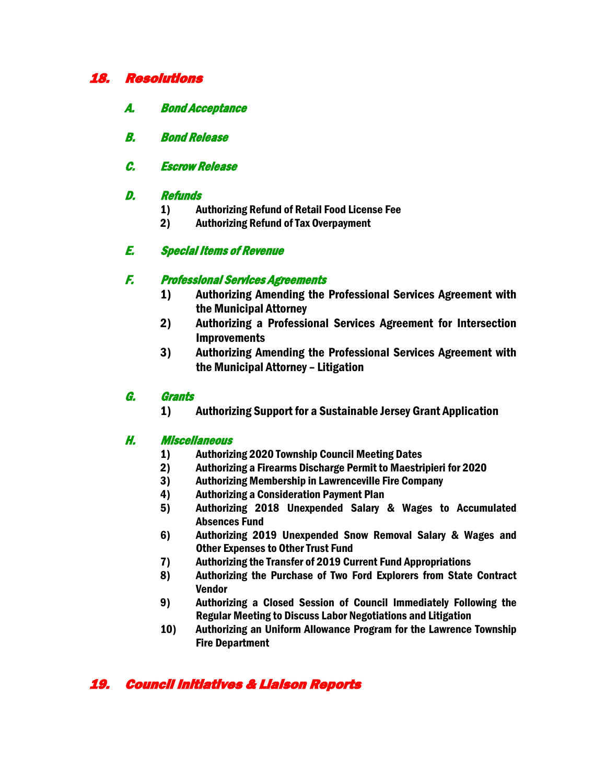#### 18. Resolutions

- A. Bond Acceptance
- B. Bond Release
- C. Escrow Release

#### D. Refunds

- 1) Authorizing Refund of Retail Food License Fee
- 2) Authorizing Refund of Tax Overpayment

### E. Special Items of Revenue

#### F. Professional Services Agreements

- 1) Authorizing Amending the Professional Services Agreement with the Municipal Attorney
- 2) Authorizing a Professional Services Agreement for Intersection Improvements
- 3) Authorizing Amending the Professional Services Agreement with the Municipal Attorney – Litigation

#### G. Grants

1) Authorizing Support for a Sustainable Jersey Grant Application

#### H. Miscellaneous

- 1) Authorizing 2020 Township Council Meeting Dates
- 2) Authorizing a Firearms Discharge Permit to Maestripieri for 2020
- 3) Authorizing Membership in Lawrenceville Fire Company
- 4) Authorizing a Consideration Payment Plan
- 5) Authorizing 2018 Unexpended Salary & Wages to Accumulated Absences Fund
- 6) Authorizing 2019 Unexpended Snow Removal Salary & Wages and Other Expenses to Other Trust Fund
- 7) Authorizing the Transfer of 2019 Current Fund Appropriations
- 8) Authorizing the Purchase of Two Ford Explorers from State Contract Vendor
- 9) Authorizing a Closed Session of Council Immediately Following the Regular Meeting to Discuss Labor Negotiations and Litigation
- 10) Authorizing an Uniform Allowance Program for the Lawrence Township Fire Department

## 19. Council Initiatives & Liaison Reports